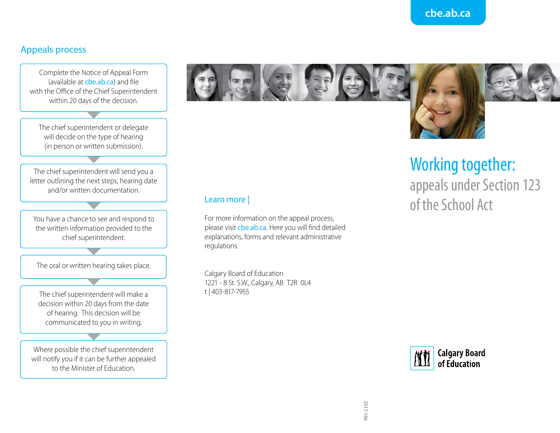### **cbe.ab.ca**

#### Appeals process

Complete the Notice of Appeal Form (available at cbe.ab.ca) and file with the Office of the Chief Superintendent within 20 days of the decision.

The chief superintendent or delegate will decide on the type of hearing (in person or written submission).

The chief superintendent will send you a letter outlining the next steps, hearing date and/or written documentation.

You have a chance to see and respond to the written information provided to the chief superintendent.

The oral or written hearing takes place.

The chief superintendent will make a decision within 20 days from the date of hearing. This decision will be communicated to you in writing.

Where possible the chief superintendent will notify you if it can be further appealed to the Minister of Education.



#### Learn more |

For more information on the appeal process, please visit cbe.ab.ca. Here you will find detailed explanations, forms and relevant administrative regulations.

Calgary Board of Education 1221 - 8 St. S.W., Calgary, AB T2R 0L4 t | 403-817-7955

# Working together: appeals under Section 123 of the School Act